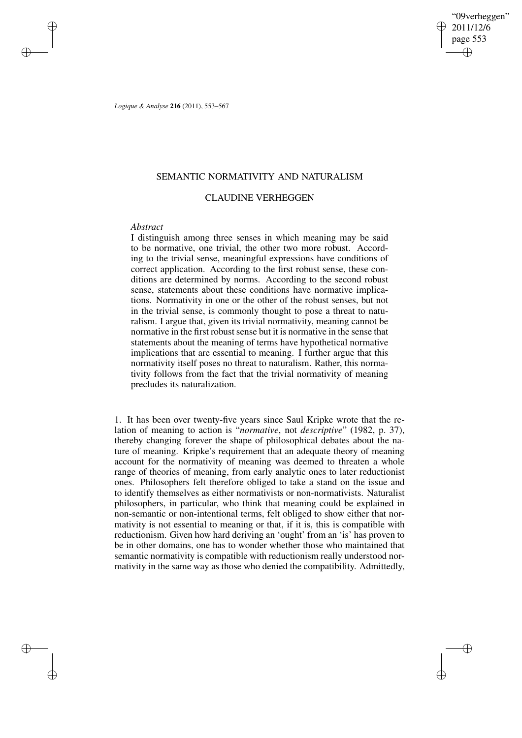"09verheggen" 2011/12/6 page 553 ✐ ✐

✐

✐

*Logique & Analyse* **216** (2011), 553–567

# SEMANTIC NORMATIVITY AND NATURALISM

# CLAUDINE VERHEGGEN

## *Abstract*

✐

✐

✐

✐

I distinguish among three senses in which meaning may be said to be normative, one trivial, the other two more robust. According to the trivial sense, meaningful expressions have conditions of correct application. According to the first robust sense, these conditions are determined by norms. According to the second robust sense, statements about these conditions have normative implications. Normativity in one or the other of the robust senses, but not in the trivial sense, is commonly thought to pose a threat to naturalism. I argue that, given its trivial normativity, meaning cannot be normative in the first robust sense but it is normative in the sense that statements about the meaning of terms have hypothetical normative implications that are essential to meaning. I further argue that this normativity itself poses no threat to naturalism. Rather, this normativity follows from the fact that the trivial normativity of meaning precludes its naturalization.

1. It has been over twenty-five years since Saul Kripke wrote that the relation of meaning to action is "*normative*, not *descriptive*" (1982, p. 37), thereby changing forever the shape of philosophical debates about the nature of meaning. Kripke's requirement that an adequate theory of meaning account for the normativity of meaning was deemed to threaten a whole range of theories of meaning, from early analytic ones to later reductionist ones. Philosophers felt therefore obliged to take a stand on the issue and to identify themselves as either normativists or non-normativists. Naturalist philosophers, in particular, who think that meaning could be explained in non-semantic or non-intentional terms, felt obliged to show either that normativity is not essential to meaning or that, if it is, this is compatible with reductionism. Given how hard deriving an 'ought' from an 'is' has proven to be in other domains, one has to wonder whether those who maintained that semantic normativity is compatible with reductionism really understood normativity in the same way as those who denied the compatibility. Admittedly,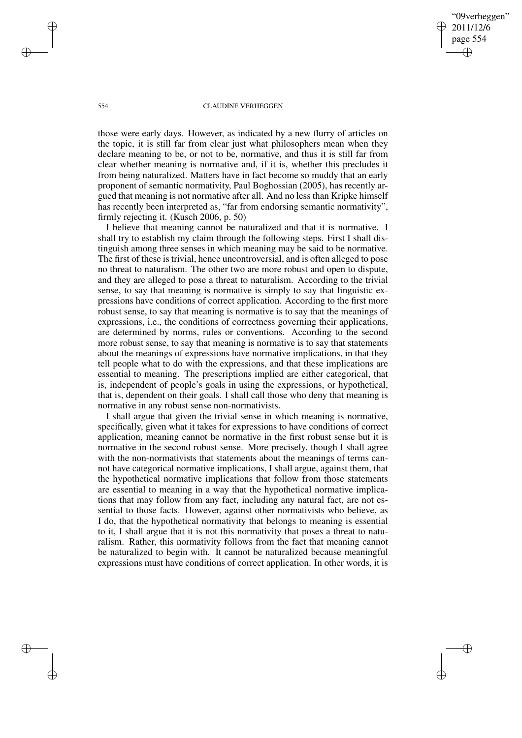09verheggen" 2011/12/6 page 554 ✐ ✐

✐

✐

#### 554 CLAUDINE VERHEGGEN

those were early days. However, as indicated by a new flurry of articles on the topic, it is still far from clear just what philosophers mean when they declare meaning to be, or not to be, normative, and thus it is still far from clear whether meaning is normative and, if it is, whether this precludes it from being naturalized. Matters have in fact become so muddy that an early proponent of semantic normativity, Paul Boghossian (2005), has recently argued that meaning is not normative after all. And no less than Kripke himself has recently been interpreted as, "far from endorsing semantic normativity", firmly rejecting it. (Kusch 2006, p. 50)

I believe that meaning cannot be naturalized and that it is normative. I shall try to establish my claim through the following steps. First I shall distinguish among three senses in which meaning may be said to be normative. The first of these is trivial, hence uncontroversial, and is often alleged to pose no threat to naturalism. The other two are more robust and open to dispute, and they are alleged to pose a threat to naturalism. According to the trivial sense, to say that meaning is normative is simply to say that linguistic expressions have conditions of correct application. According to the first more robust sense, to say that meaning is normative is to say that the meanings of expressions, i.e., the conditions of correctness governing their applications, are determined by norms, rules or conventions. According to the second more robust sense, to say that meaning is normative is to say that statements about the meanings of expressions have normative implications, in that they tell people what to do with the expressions, and that these implications are essential to meaning. The prescriptions implied are either categorical, that is, independent of people's goals in using the expressions, or hypothetical, that is, dependent on their goals. I shall call those who deny that meaning is normative in any robust sense non-normativists.

I shall argue that given the trivial sense in which meaning is normative, specifically, given what it takes for expressions to have conditions of correct application, meaning cannot be normative in the first robust sense but it is normative in the second robust sense. More precisely, though I shall agree with the non-normativists that statements about the meanings of terms cannot have categorical normative implications, I shall argue, against them, that the hypothetical normative implications that follow from those statements are essential to meaning in a way that the hypothetical normative implications that may follow from any fact, including any natural fact, are not essential to those facts. However, against other normativists who believe, as I do, that the hypothetical normativity that belongs to meaning is essential to it, I shall argue that it is not this normativity that poses a threat to naturalism. Rather, this normativity follows from the fact that meaning cannot be naturalized to begin with. It cannot be naturalized because meaningful expressions must have conditions of correct application. In other words, it is

✐

✐

✐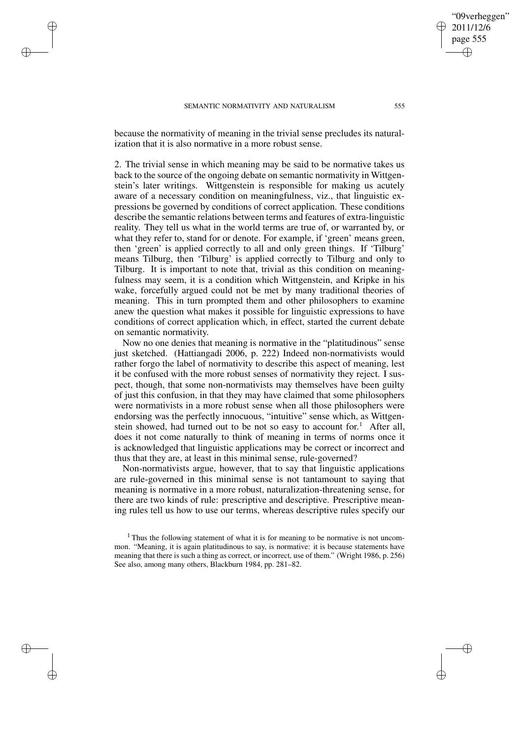✐

✐

✐

✐

because the normativity of meaning in the trivial sense precludes its naturalization that it is also normative in a more robust sense.

2. The trivial sense in which meaning may be said to be normative takes us back to the source of the ongoing debate on semantic normativity in Wittgenstein's later writings. Wittgenstein is responsible for making us acutely aware of a necessary condition on meaningfulness, viz., that linguistic expressions be governed by conditions of correct application. These conditions describe the semantic relations between terms and features of extra-linguistic reality. They tell us what in the world terms are true of, or warranted by, or what they refer to, stand for or denote. For example, if 'green' means green, then 'green' is applied correctly to all and only green things. If 'Tilburg' means Tilburg, then 'Tilburg' is applied correctly to Tilburg and only to Tilburg. It is important to note that, trivial as this condition on meaningfulness may seem, it is a condition which Wittgenstein, and Kripke in his wake, forcefully argued could not be met by many traditional theories of meaning. This in turn prompted them and other philosophers to examine anew the question what makes it possible for linguistic expressions to have conditions of correct application which, in effect, started the current debate on semantic normativity.

Now no one denies that meaning is normative in the "platitudinous" sense just sketched. (Hattiangadi 2006, p. 222) Indeed non-normativists would rather forgo the label of normativity to describe this aspect of meaning, lest it be confused with the more robust senses of normativity they reject. I suspect, though, that some non-normativists may themselves have been guilty of just this confusion, in that they may have claimed that some philosophers were normativists in a more robust sense when all those philosophers were endorsing was the perfectly innocuous, "intuitive" sense which, as Wittgenstein showed, had turned out to be not so easy to account for.<sup>1</sup> After all, does it not come naturally to think of meaning in terms of norms once it is acknowledged that linguistic applications may be correct or incorrect and thus that they are, at least in this minimal sense, rule-governed?

Non-normativists argue, however, that to say that linguistic applications are rule-governed in this minimal sense is not tantamount to saying that meaning is normative in a more robust, naturalization-threatening sense, for there are two kinds of rule: prescriptive and descriptive. Prescriptive meaning rules tell us how to use our terms, whereas descriptive rules specify our

09verheggen" 2011/12/6 page 555

✐

✐

✐

<sup>&</sup>lt;sup>1</sup> Thus the following statement of what it is for meaning to be normative is not uncommon. "Meaning, it is again platitudinous to say, is normative: it is because statements have meaning that there is such a thing as correct, or incorrect, use of them." (Wright 1986, p. 256) See also, among many others, Blackburn 1984, pp. 281–82.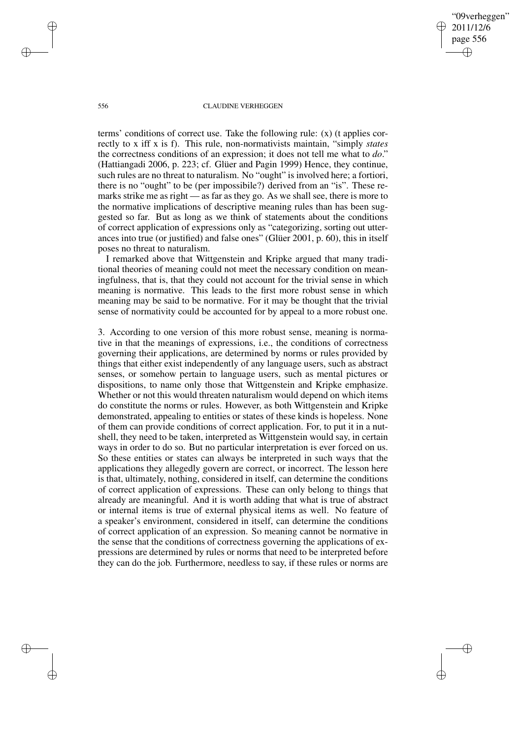"09verheggen" 2011/12/6 page 556 ✐ ✐

✐

✐

#### 556 CLAUDINE VERHEGGEN

terms' conditions of correct use. Take the following rule: (x) (t applies correctly to x iff x is f). This rule, non-normativists maintain, "simply *states* the correctness conditions of an expression; it does not tell me what to *do*." (Hattiangadi 2006, p. 223; cf. Glüer and Pagin 1999) Hence, they continue, such rules are no threat to naturalism. No "ought" is involved here; a fortiori, there is no "ought" to be (per impossibile?) derived from an "is". These remarks strike me as right — as far as they go. As we shall see, there is more to the normative implications of descriptive meaning rules than has been suggested so far. But as long as we think of statements about the conditions of correct application of expressions only as "categorizing, sorting out utterances into true (or justified) and false ones" (Glüer 2001, p. 60), this in itself poses no threat to naturalism.

I remarked above that Wittgenstein and Kripke argued that many traditional theories of meaning could not meet the necessary condition on meaningfulness, that is, that they could not account for the trivial sense in which meaning is normative. This leads to the first more robust sense in which meaning may be said to be normative. For it may be thought that the trivial sense of normativity could be accounted for by appeal to a more robust one.

3. According to one version of this more robust sense, meaning is normative in that the meanings of expressions, i.e., the conditions of correctness governing their applications, are determined by norms or rules provided by things that either exist independently of any language users, such as abstract senses, or somehow pertain to language users, such as mental pictures or dispositions, to name only those that Wittgenstein and Kripke emphasize. Whether or not this would threaten naturalism would depend on which items do constitute the norms or rules. However, as both Wittgenstein and Kripke demonstrated, appealing to entities or states of these kinds is hopeless. None of them can provide conditions of correct application. For, to put it in a nutshell, they need to be taken, interpreted as Wittgenstein would say, in certain ways in order to do so. But no particular interpretation is ever forced on us. So these entities or states can always be interpreted in such ways that the applications they allegedly govern are correct, or incorrect. The lesson here is that, ultimately, nothing, considered in itself, can determine the conditions of correct application of expressions. These can only belong to things that already are meaningful. And it is worth adding that what is true of abstract or internal items is true of external physical items as well. No feature of a speaker's environment, considered in itself, can determine the conditions of correct application of an expression. So meaning cannot be normative in the sense that the conditions of correctness governing the applications of expressions are determined by rules or norms that need to be interpreted before they can do the job. Furthermore, needless to say, if these rules or norms are

✐

✐

✐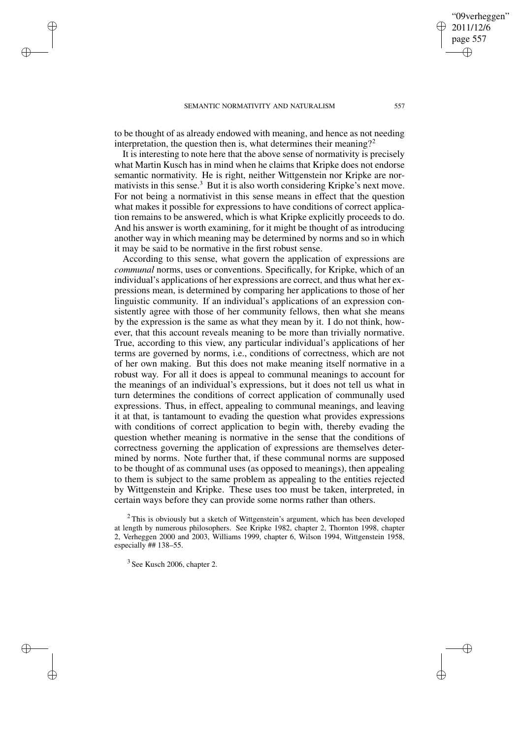✐

✐

✐

✐

to be thought of as already endowed with meaning, and hence as not needing interpretation, the question then is, what determines their meaning?<sup>2</sup>

It is interesting to note here that the above sense of normativity is precisely what Martin Kusch has in mind when he claims that Kripke does not endorse semantic normativity. He is right, neither Wittgenstein nor Kripke are normativists in this sense.<sup>3</sup> But it is also worth considering Kripke's next move. For not being a normativist in this sense means in effect that the question what makes it possible for expressions to have conditions of correct application remains to be answered, which is what Kripke explicitly proceeds to do. And his answer is worth examining, for it might be thought of as introducing another way in which meaning may be determined by norms and so in which it may be said to be normative in the first robust sense.

According to this sense, what govern the application of expressions are *communal* norms, uses or conventions. Specifically, for Kripke, which of an individual's applications of her expressions are correct, and thus what her expressions mean, is determined by comparing her applications to those of her linguistic community. If an individual's applications of an expression consistently agree with those of her community fellows, then what she means by the expression is the same as what they mean by it. I do not think, however, that this account reveals meaning to be more than trivially normative. True, according to this view, any particular individual's applications of her terms are governed by norms, i.e., conditions of correctness, which are not of her own making. But this does not make meaning itself normative in a robust way. For all it does is appeal to communal meanings to account for the meanings of an individual's expressions, but it does not tell us what in turn determines the conditions of correct application of communally used expressions. Thus, in effect, appealing to communal meanings, and leaving it at that, is tantamount to evading the question what provides expressions with conditions of correct application to begin with, thereby evading the question whether meaning is normative in the sense that the conditions of correctness governing the application of expressions are themselves determined by norms. Note further that, if these communal norms are supposed to be thought of as communal uses (as opposed to meanings), then appealing to them is subject to the same problem as appealing to the entities rejected by Wittgenstein and Kripke. These uses too must be taken, interpreted, in certain ways before they can provide some norms rather than others.

09verheggen" 2011/12/6 page 557

✐

✐

✐

 $2$ This is obviously but a sketch of Wittgenstein's argument, which has been developed at length by numerous philosophers. See Kripke 1982, chapter 2, Thornton 1998, chapter 2, Verheggen 2000 and 2003, Williams 1999, chapter 6, Wilson 1994, Wittgenstein 1958, especially ## 138–55.

<sup>&</sup>lt;sup>3</sup> See Kusch 2006, chapter 2.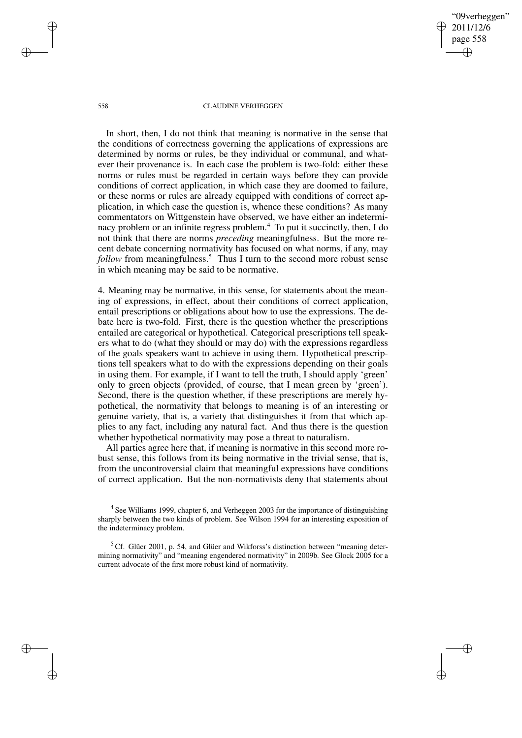✐

✐

#### 558 CLAUDINE VERHEGGEN

In short, then, I do not think that meaning is normative in the sense that the conditions of correctness governing the applications of expressions are determined by norms or rules, be they individual or communal, and whatever their provenance is. In each case the problem is two-fold: either these norms or rules must be regarded in certain ways before they can provide conditions of correct application, in which case they are doomed to failure, or these norms or rules are already equipped with conditions of correct application, in which case the question is, whence these conditions? As many commentators on Wittgenstein have observed, we have either an indeterminacy problem or an infinite regress problem.<sup>4</sup> To put it succinctly, then, I do not think that there are norms *preceding* meaningfulness. But the more recent debate concerning normativity has focused on what norms, if any, may *follow* from meaningfulness.<sup>5</sup> Thus I turn to the second more robust sense in which meaning may be said to be normative.

4. Meaning may be normative, in this sense, for statements about the meaning of expressions, in effect, about their conditions of correct application, entail prescriptions or obligations about how to use the expressions. The debate here is two-fold. First, there is the question whether the prescriptions entailed are categorical or hypothetical. Categorical prescriptions tell speakers what to do (what they should or may do) with the expressions regardless of the goals speakers want to achieve in using them. Hypothetical prescriptions tell speakers what to do with the expressions depending on their goals in using them. For example, if I want to tell the truth, I should apply 'green' only to green objects (provided, of course, that I mean green by 'green'). Second, there is the question whether, if these prescriptions are merely hypothetical, the normativity that belongs to meaning is of an interesting or genuine variety, that is, a variety that distinguishes it from that which applies to any fact, including any natural fact. And thus there is the question whether hypothetical normativity may pose a threat to naturalism.

All parties agree here that, if meaning is normative in this second more robust sense, this follows from its being normative in the trivial sense, that is, from the uncontroversial claim that meaningful expressions have conditions of correct application. But the non-normativists deny that statements about

✐

✐

✐

<sup>&</sup>lt;sup>4</sup> See Williams 1999, chapter 6, and Verheggen 2003 for the importance of distinguishing sharply between the two kinds of problem. See Wilson 1994 for an interesting exposition of the indeterminacy problem.

 $5$  Cf. Glüer 2001, p. 54, and Glüer and Wikforss's distinction between "meaning determining normativity" and "meaning engendered normativity" in 2009b. See Glock 2005 for a current advocate of the first more robust kind of normativity.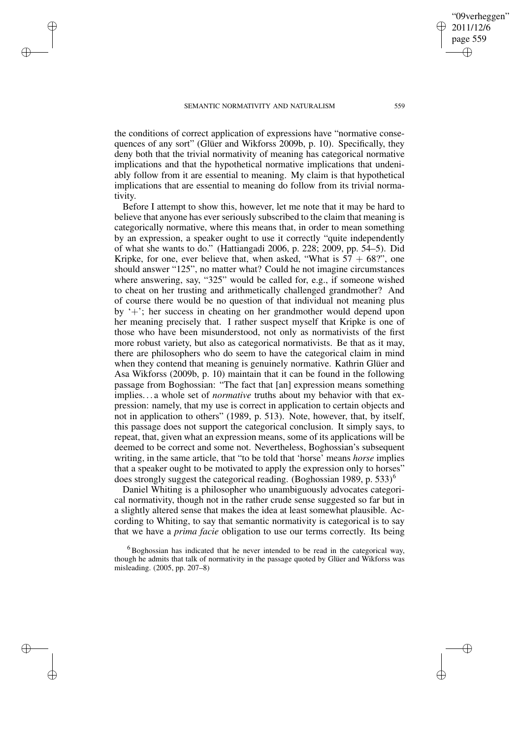✐

✐

✐

✐

the conditions of correct application of expressions have "normative consequences of any sort" (Glüer and Wikforss 2009b, p. 10). Specifically, they deny both that the trivial normativity of meaning has categorical normative implications and that the hypothetical normative implications that undeniably follow from it are essential to meaning. My claim is that hypothetical implications that are essential to meaning do follow from its trivial normativity.

Before I attempt to show this, however, let me note that it may be hard to believe that anyone has ever seriously subscribed to the claim that meaning is categorically normative, where this means that, in order to mean something by an expression, a speaker ought to use it correctly "quite independently of what she wants to do." (Hattiangadi 2006, p. 228; 2009, pp. 54–5). Did Kripke, for one, ever believe that, when asked, "What is  $57 + 68$ ", one should answer "125", no matter what? Could he not imagine circumstances where answering, say, "325" would be called for, e.g., if someone wished to cheat on her trusting and arithmetically challenged grandmother? And of course there would be no question of that individual not meaning plus by '+'; her success in cheating on her grandmother would depend upon her meaning precisely that. I rather suspect myself that Kripke is one of those who have been misunderstood, not only as normativists of the first more robust variety, but also as categorical normativists. Be that as it may, there are philosophers who do seem to have the categorical claim in mind when they contend that meaning is genuinely normative. Kathrin Glüer and Asa Wikforss (2009b, p. 10) maintain that it can be found in the following passage from Boghossian: "The fact that [an] expression means something implies. . . a whole set of *normative* truths about my behavior with that expression: namely, that my use is correct in application to certain objects and not in application to others" (1989, p. 513). Note, however, that, by itself, this passage does not support the categorical conclusion. It simply says, to repeat, that, given what an expression means, some of its applications will be deemed to be correct and some not. Nevertheless, Boghossian's subsequent writing, in the same article, that "to be told that 'horse' means *horse* implies that a speaker ought to be motivated to apply the expression only to horses" does strongly suggest the categorical reading. (Boghossian 1989, p. 533)<sup>6</sup>

Daniel Whiting is a philosopher who unambiguously advocates categorical normativity, though not in the rather crude sense suggested so far but in a slightly altered sense that makes the idea at least somewhat plausible. According to Whiting, to say that semantic normativity is categorical is to say that we have a *prima facie* obligation to use our terms correctly. Its being

✐

<sup>6</sup> Boghossian has indicated that he never intended to be read in the categorical way, though he admits that talk of normativity in the passage quoted by Glüer and Wikforss was misleading. (2005, pp. 207–8)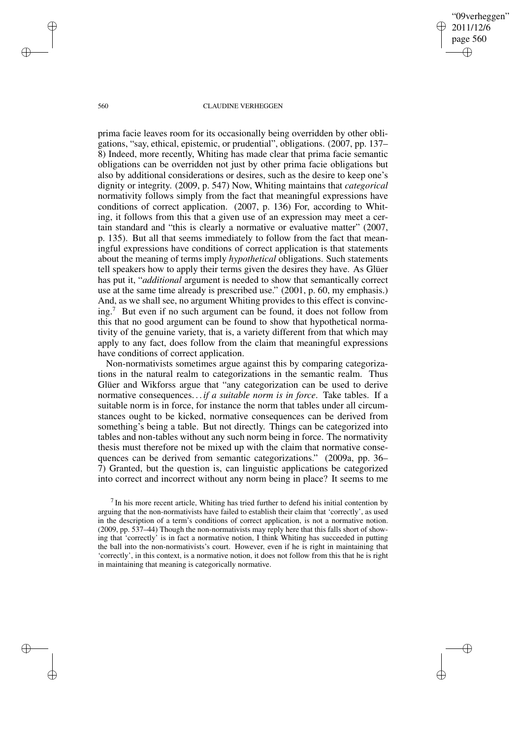"09verheggen" 2011/12/6 page 560 ✐ ✐

✐

✐

#### 560 CLAUDINE VERHEGGEN

prima facie leaves room for its occasionally being overridden by other obligations, "say, ethical, epistemic, or prudential", obligations. (2007, pp. 137– 8) Indeed, more recently, Whiting has made clear that prima facie semantic obligations can be overridden not just by other prima facie obligations but also by additional considerations or desires, such as the desire to keep one's dignity or integrity. (2009, p. 547) Now, Whiting maintains that *categorical* normativity follows simply from the fact that meaningful expressions have conditions of correct application. (2007, p. 136) For, according to Whiting, it follows from this that a given use of an expression may meet a certain standard and "this is clearly a normative or evaluative matter" (2007, p. 135). But all that seems immediately to follow from the fact that meaningful expressions have conditions of correct application is that statements about the meaning of terms imply *hypothetical* obligations. Such statements tell speakers how to apply their terms given the desires they have. As Glüer has put it, "*additional* argument is needed to show that semantically correct use at the same time already is prescribed use." (2001, p. 60, my emphasis.) And, as we shall see, no argument Whiting provides to this effect is convincing.<sup>7</sup> But even if no such argument can be found, it does not follow from this that no good argument can be found to show that hypothetical normativity of the genuine variety, that is, a variety different from that which may apply to any fact, does follow from the claim that meaningful expressions have conditions of correct application.

Non-normativists sometimes argue against this by comparing categorizations in the natural realm to categorizations in the semantic realm. Thus Glüer and Wikforss argue that "any categorization can be used to derive normative consequences. . . *if a suitable norm is in force*. Take tables. If a suitable norm is in force, for instance the norm that tables under all circumstances ought to be kicked, normative consequences can be derived from something's being a table. But not directly. Things can be categorized into tables and non-tables without any such norm being in force. The normativity thesis must therefore not be mixed up with the claim that normative consequences can be derived from semantic categorizations." (2009a, pp. 36– 7) Granted, but the question is, can linguistic applications be categorized into correct and incorrect without any norm being in place? It seems to me

 $<sup>7</sup>$  In his more recent article, Whiting has tried further to defend his initial contention by</sup> arguing that the non-normativists have failed to establish their claim that 'correctly', as used in the description of a term's conditions of correct application, is not a normative notion. (2009, pp. 537–44) Though the non-normativists may reply here that this falls short of showing that 'correctly' is in fact a normative notion, I think Whiting has succeeded in putting the ball into the non-normativists's court. However, even if he is right in maintaining that 'correctly', in this context, is a normative notion, it does not follow from this that he is right in maintaining that meaning is categorically normative.

✐

✐

✐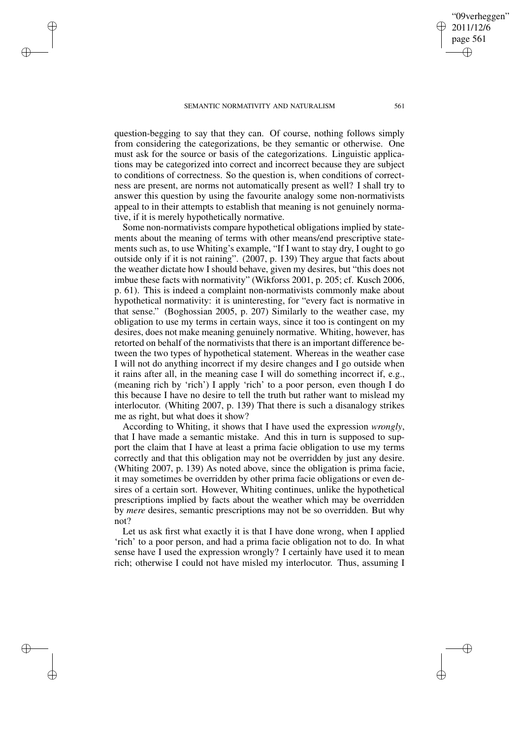✐

✐

✐

✐

question-begging to say that they can. Of course, nothing follows simply from considering the categorizations, be they semantic or otherwise. One must ask for the source or basis of the categorizations. Linguistic applications may be categorized into correct and incorrect because they are subject to conditions of correctness. So the question is, when conditions of correctness are present, are norms not automatically present as well? I shall try to answer this question by using the favourite analogy some non-normativists appeal to in their attempts to establish that meaning is not genuinely normative, if it is merely hypothetically normative.

Some non-normativists compare hypothetical obligations implied by statements about the meaning of terms with other means/end prescriptive statements such as, to use Whiting's example, "If I want to stay dry, I ought to go outside only if it is not raining". (2007, p. 139) They argue that facts about the weather dictate how I should behave, given my desires, but "this does not imbue these facts with normativity" (Wikforss 2001, p. 205; cf. Kusch 2006, p. 61). This is indeed a complaint non-normativists commonly make about hypothetical normativity: it is uninteresting, for "every fact is normative in that sense." (Boghossian 2005, p. 207) Similarly to the weather case, my obligation to use my terms in certain ways, since it too is contingent on my desires, does not make meaning genuinely normative. Whiting, however, has retorted on behalf of the normativists that there is an important difference between the two types of hypothetical statement. Whereas in the weather case I will not do anything incorrect if my desire changes and I go outside when it rains after all, in the meaning case I will do something incorrect if, e.g., (meaning rich by 'rich') I apply 'rich' to a poor person, even though I do this because I have no desire to tell the truth but rather want to mislead my interlocutor. (Whiting 2007, p. 139) That there is such a disanalogy strikes me as right, but what does it show?

According to Whiting, it shows that I have used the expression *wrongly*, that I have made a semantic mistake. And this in turn is supposed to support the claim that I have at least a prima facie obligation to use my terms correctly and that this obligation may not be overridden by just any desire. (Whiting 2007, p. 139) As noted above, since the obligation is prima facie, it may sometimes be overridden by other prima facie obligations or even desires of a certain sort. However, Whiting continues, unlike the hypothetical prescriptions implied by facts about the weather which may be overridden by *mere* desires, semantic prescriptions may not be so overridden. But why not?

Let us ask first what exactly it is that I have done wrong, when I applied 'rich' to a poor person, and had a prima facie obligation not to do. In what sense have I used the expression wrongly? I certainly have used it to mean rich; otherwise I could not have misled my interlocutor. Thus, assuming I

"09verheggen" 2011/12/6 page 561

✐

✐

✐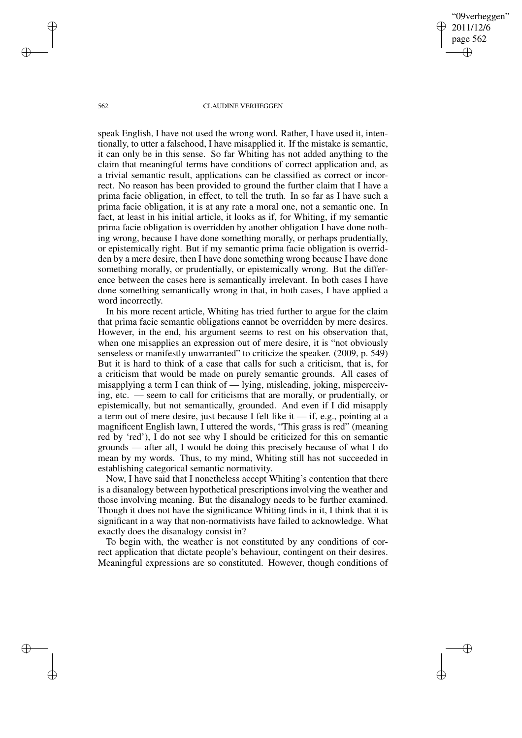"09verheggen" 2011/12/6 page 562 ✐ ✐

✐

✐

#### 562 CLAUDINE VERHEGGEN

speak English, I have not used the wrong word. Rather, I have used it, intentionally, to utter a falsehood, I have misapplied it. If the mistake is semantic, it can only be in this sense. So far Whiting has not added anything to the claim that meaningful terms have conditions of correct application and, as a trivial semantic result, applications can be classified as correct or incorrect. No reason has been provided to ground the further claim that I have a prima facie obligation, in effect, to tell the truth. In so far as I have such a prima facie obligation, it is at any rate a moral one, not a semantic one. In fact, at least in his initial article, it looks as if, for Whiting, if my semantic prima facie obligation is overridden by another obligation I have done nothing wrong, because I have done something morally, or perhaps prudentially, or epistemically right. But if my semantic prima facie obligation is overridden by a mere desire, then I have done something wrong because I have done something morally, or prudentially, or epistemically wrong. But the difference between the cases here is semantically irrelevant. In both cases I have done something semantically wrong in that, in both cases, I have applied a word incorrectly.

In his more recent article, Whiting has tried further to argue for the claim that prima facie semantic obligations cannot be overridden by mere desires. However, in the end, his argument seems to rest on his observation that, when one misapplies an expression out of mere desire, it is "not obviously senseless or manifestly unwarranted" to criticize the speaker. (2009, p. 549) But it is hard to think of a case that calls for such a criticism, that is, for a criticism that would be made on purely semantic grounds. All cases of misapplying a term I can think of — lying, misleading, joking, misperceiving, etc. — seem to call for criticisms that are morally, or prudentially, or epistemically, but not semantically, grounded. And even if I did misapply a term out of mere desire, just because I felt like it  $-$  if, e.g., pointing at a magnificent English lawn, I uttered the words, "This grass is red" (meaning red by 'red'), I do not see why I should be criticized for this on semantic grounds — after all, I would be doing this precisely because of what I do mean by my words. Thus, to my mind, Whiting still has not succeeded in establishing categorical semantic normativity.

Now, I have said that I nonetheless accept Whiting's contention that there is a disanalogy between hypothetical prescriptions involving the weather and those involving meaning. But the disanalogy needs to be further examined. Though it does not have the significance Whiting finds in it, I think that it is significant in a way that non-normativists have failed to acknowledge. What exactly does the disanalogy consist in?

To begin with, the weather is not constituted by any conditions of correct application that dictate people's behaviour, contingent on their desires. Meaningful expressions are so constituted. However, though conditions of

✐

✐

✐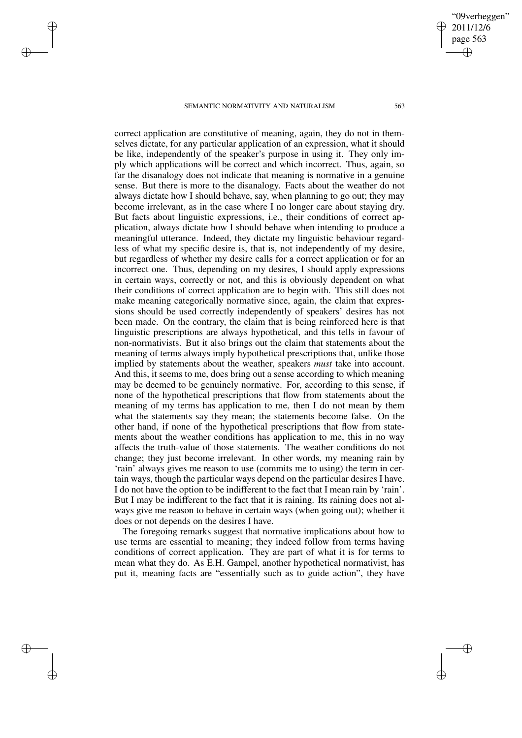✐

✐

✐

✐

correct application are constitutive of meaning, again, they do not in themselves dictate, for any particular application of an expression, what it should be like, independently of the speaker's purpose in using it. They only imply which applications will be correct and which incorrect. Thus, again, so far the disanalogy does not indicate that meaning is normative in a genuine sense. But there is more to the disanalogy. Facts about the weather do not always dictate how I should behave, say, when planning to go out; they may become irrelevant, as in the case where I no longer care about staying dry. But facts about linguistic expressions, i.e., their conditions of correct application, always dictate how I should behave when intending to produce a meaningful utterance. Indeed, they dictate my linguistic behaviour regardless of what my specific desire is, that is, not independently of my desire, but regardless of whether my desire calls for a correct application or for an incorrect one. Thus, depending on my desires, I should apply expressions in certain ways, correctly or not, and this is obviously dependent on what their conditions of correct application are to begin with. This still does not make meaning categorically normative since, again, the claim that expressions should be used correctly independently of speakers' desires has not been made. On the contrary, the claim that is being reinforced here is that linguistic prescriptions are always hypothetical, and this tells in favour of non-normativists. But it also brings out the claim that statements about the meaning of terms always imply hypothetical prescriptions that, unlike those implied by statements about the weather, speakers *must* take into account. And this, it seems to me, does bring out a sense according to which meaning may be deemed to be genuinely normative. For, according to this sense, if none of the hypothetical prescriptions that flow from statements about the meaning of my terms has application to me, then I do not mean by them what the statements say they mean; the statements become false. On the other hand, if none of the hypothetical prescriptions that flow from statements about the weather conditions has application to me, this in no way affects the truth-value of those statements. The weather conditions do not change; they just become irrelevant. In other words, my meaning rain by 'rain' always gives me reason to use (commits me to using) the term in certain ways, though the particular ways depend on the particular desires I have. I do not have the option to be indifferent to the fact that I mean rain by 'rain'. But I may be indifferent to the fact that it is raining. Its raining does not always give me reason to behave in certain ways (when going out); whether it does or not depends on the desires I have.

The foregoing remarks suggest that normative implications about how to use terms are essential to meaning; they indeed follow from terms having conditions of correct application. They are part of what it is for terms to mean what they do. As E.H. Gampel, another hypothetical normativist, has put it, meaning facts are "essentially such as to guide action", they have

"09verheggen" 2011/12/6 page 563

✐

✐

✐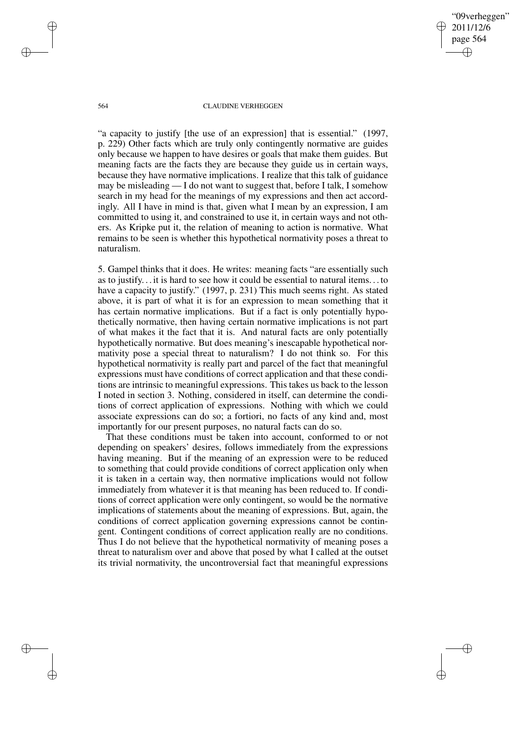"09verheggen" 2011/12/6 page 564 ✐ ✐

✐

✐

#### 564 CLAUDINE VERHEGGEN

"a capacity to justify [the use of an expression] that is essential." (1997, p. 229) Other facts which are truly only contingently normative are guides only because we happen to have desires or goals that make them guides. But meaning facts are the facts they are because they guide us in certain ways, because they have normative implications. I realize that this talk of guidance may be misleading — I do not want to suggest that, before I talk, I somehow search in my head for the meanings of my expressions and then act accordingly. All I have in mind is that, given what I mean by an expression, I am committed to using it, and constrained to use it, in certain ways and not others. As Kripke put it, the relation of meaning to action is normative. What remains to be seen is whether this hypothetical normativity poses a threat to naturalism.

5. Gampel thinks that it does. He writes: meaning facts "are essentially such as to justify. . . it is hard to see how it could be essential to natural items. . . to have a capacity to justify." (1997, p. 231) This much seems right. As stated above, it is part of what it is for an expression to mean something that it has certain normative implications. But if a fact is only potentially hypothetically normative, then having certain normative implications is not part of what makes it the fact that it is. And natural facts are only potentially hypothetically normative. But does meaning's inescapable hypothetical normativity pose a special threat to naturalism? I do not think so. For this hypothetical normativity is really part and parcel of the fact that meaningful expressions must have conditions of correct application and that these conditions are intrinsic to meaningful expressions. This takes us back to the lesson I noted in section 3. Nothing, considered in itself, can determine the conditions of correct application of expressions. Nothing with which we could associate expressions can do so; a fortiori, no facts of any kind and, most importantly for our present purposes, no natural facts can do so.

That these conditions must be taken into account, conformed to or not depending on speakers' desires, follows immediately from the expressions having meaning. But if the meaning of an expression were to be reduced to something that could provide conditions of correct application only when it is taken in a certain way, then normative implications would not follow immediately from whatever it is that meaning has been reduced to. If conditions of correct application were only contingent, so would be the normative implications of statements about the meaning of expressions. But, again, the conditions of correct application governing expressions cannot be contingent. Contingent conditions of correct application really are no conditions. Thus I do not believe that the hypothetical normativity of meaning poses a threat to naturalism over and above that posed by what I called at the outset its trivial normativity, the uncontroversial fact that meaningful expressions

✐

✐

✐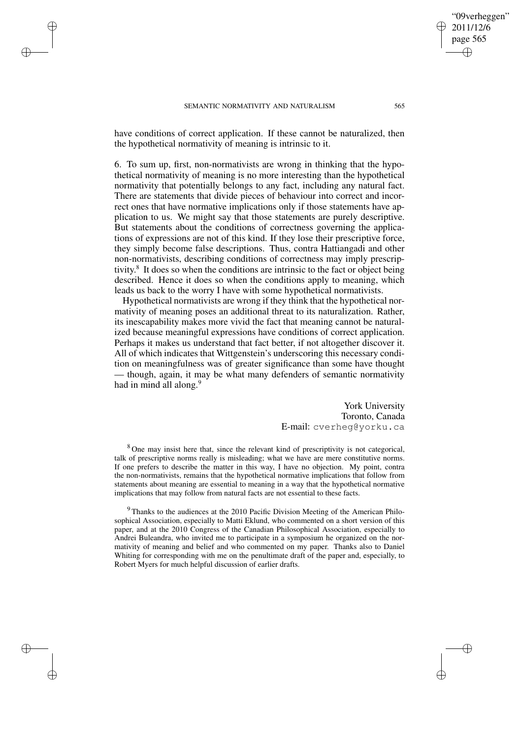✐

✐

✐

✐

have conditions of correct application. If these cannot be naturalized, then the hypothetical normativity of meaning is intrinsic to it.

6. To sum up, first, non-normativists are wrong in thinking that the hypothetical normativity of meaning is no more interesting than the hypothetical normativity that potentially belongs to any fact, including any natural fact. There are statements that divide pieces of behaviour into correct and incorrect ones that have normative implications only if those statements have application to us. We might say that those statements are purely descriptive. But statements about the conditions of correctness governing the applications of expressions are not of this kind. If they lose their prescriptive force, they simply become false descriptions. Thus, contra Hattiangadi and other non-normativists, describing conditions of correctness may imply prescriptivity. 8 It does so when the conditions are intrinsic to the fact or object being described. Hence it does so when the conditions apply to meaning, which leads us back to the worry I have with some hypothetical normativists.

Hypothetical normativists are wrong if they think that the hypothetical normativity of meaning poses an additional threat to its naturalization. Rather, its inescapability makes more vivid the fact that meaning cannot be naturalized because meaningful expressions have conditions of correct application. Perhaps it makes us understand that fact better, if not altogether discover it. All of which indicates that Wittgenstein's underscoring this necessary condition on meaningfulness was of greater significance than some have thought — though, again, it may be what many defenders of semantic normativity had in mind all along.<sup>9</sup>

> York University Toronto, Canada E-mail: cverheg@yorku.ca

<sup>8</sup> One may insist here that, since the relevant kind of prescriptivity is not categorical, talk of prescriptive norms really is misleading; what we have are mere constitutive norms. If one prefers to describe the matter in this way, I have no objection. My point, contra the non-normativists, remains that the hypothetical normative implications that follow from statements about meaning are essential to meaning in a way that the hypothetical normative implications that may follow from natural facts are not essential to these facts.

<sup>9</sup> Thanks to the audiences at the 2010 Pacific Division Meeting of the American Philosophical Association, especially to Matti Eklund, who commented on a short version of this paper, and at the 2010 Congress of the Canadian Philosophical Association, especially to Andrei Buleandra, who invited me to participate in a symposium he organized on the normativity of meaning and belief and who commented on my paper. Thanks also to Daniel Whiting for corresponding with me on the penultimate draft of the paper and, especially, to Robert Myers for much helpful discussion of earlier drafts.

"09verheggen" 2011/12/6 page 565

✐

✐

✐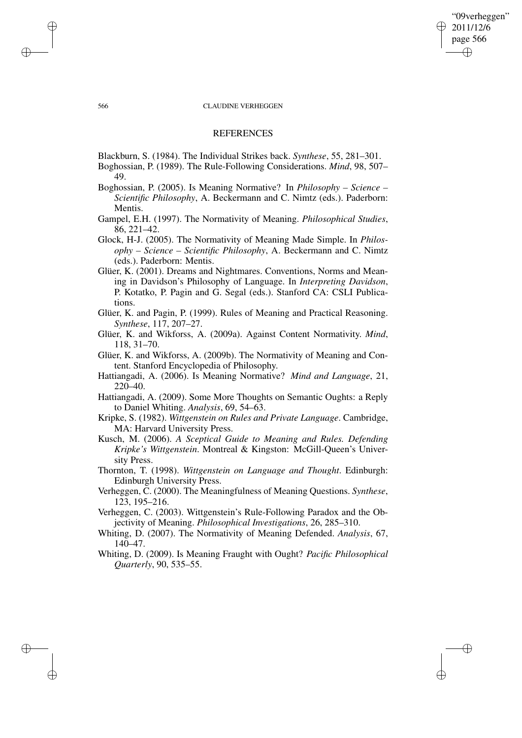## "09verheggen" 2011/12/6 page 566 ✐ ✐

✐

✐

#### 566 CLAUDINE VERHEGGEN

## **REFERENCES**

Blackburn, S. (1984). The Individual Strikes back. *Synthese*, 55, 281–301.

Boghossian, P. (1989). The Rule-Following Considerations. *Mind*, 98, 507– 49.

- Boghossian, P. (2005). Is Meaning Normative? In *Philosophy – Science – Scientific Philosophy*, A. Beckermann and C. Nimtz (eds.). Paderborn: Mentis.
- Gampel, E.H. (1997). The Normativity of Meaning. *Philosophical Studies*, 86, 221–42.
- Glock, H-J. (2005). The Normativity of Meaning Made Simple. In *Philosophy – Science – Scientific Philosophy*, A. Beckermann and C. Nimtz (eds.). Paderborn: Mentis.
- Glüer, K. (2001). Dreams and Nightmares. Conventions, Norms and Meaning in Davidson's Philosophy of Language. In *Interpreting Davidson*, P. Kotatko, P. Pagin and G. Segal (eds.). Stanford CA: CSLI Publications.
- Glüer, K. and Pagin, P. (1999). Rules of Meaning and Practical Reasoning. *Synthese*, 117, 207–27.
- Glüer, K. and Wikforss, A. (2009a). Against Content Normativity. *Mind*, 118, 31–70.
- Glüer, K. and Wikforss, A. (2009b). The Normativity of Meaning and Content. Stanford Encyclopedia of Philosophy.
- Hattiangadi, A. (2006). Is Meaning Normative? *Mind and Language*, 21, 220–40.
- Hattiangadi, A. (2009). Some More Thoughts on Semantic Oughts: a Reply to Daniel Whiting. *Analysis*, 69, 54–63.
- Kripke, S. (1982). *Wittgenstein on Rules and Private Language*. Cambridge, MA: Harvard University Press.
- Kusch, M. (2006). *A Sceptical Guide to Meaning and Rules. Defending Kripke's Wittgenstein*. Montreal & Kingston: McGill-Queen's University Press.
- Thornton, T. (1998). *Wittgenstein on Language and Thought*. Edinburgh: Edinburgh University Press.
- Verheggen, C. (2000). The Meaningfulness of Meaning Questions. *Synthese*, 123, 195–216.
- Verheggen, C. (2003). Wittgenstein's Rule-Following Paradox and the Objectivity of Meaning. *Philosophical Investigations*, 26, 285–310.
- Whiting, D. (2007). The Normativity of Meaning Defended. *Analysis*, 67, 140–47.
- Whiting, D. (2009). Is Meaning Fraught with Ought? *Pacific Philosophical Quarterly*, 90, 535–55.

✐

✐

✐